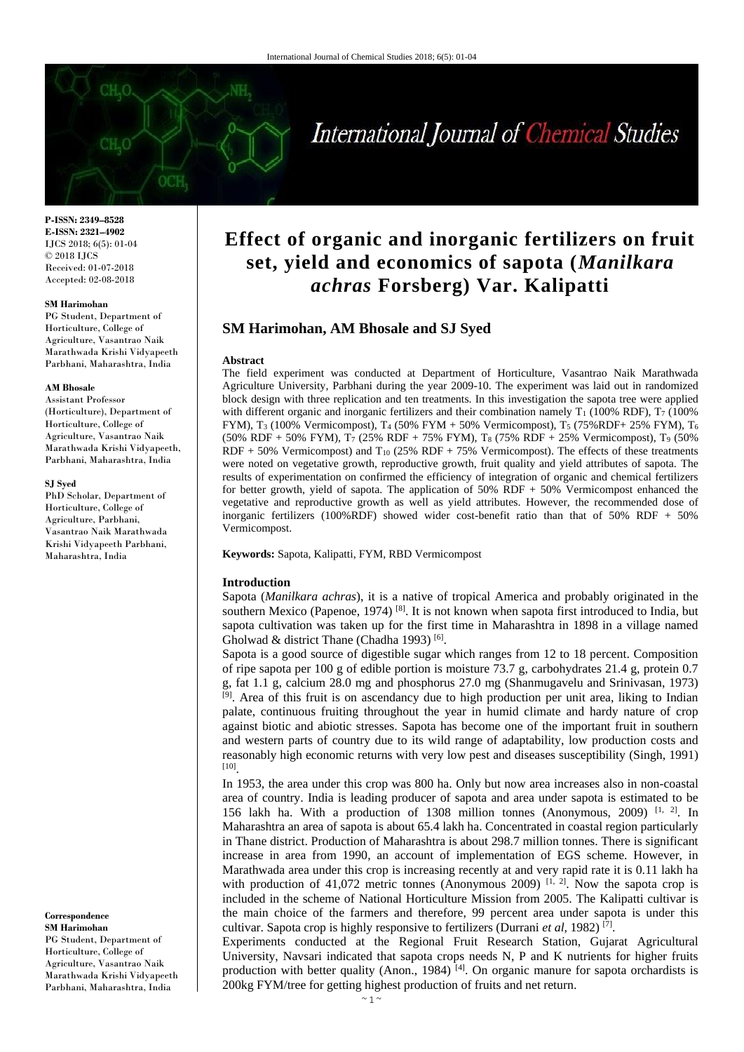# International Journal of Chemical Studies

**P-ISSN: 2349–8528 E-ISSN: 2321–4902** IJCS 2018; 6(5): 01-04 © 2018 IJCS Received: 01-07-2018 Accepted: 02-08-2018

#### **SM Harimohan**

PG Student, Department of Horticulture, College of Agriculture, Vasantrao Naik Marathwada Krishi Vidyapeeth Parbhani, Maharashtra, India

#### **AM Bhosale**

Assistant Professor (Horticulture), Department of Horticulture, College of Agriculture, Vasantrao Naik Marathwada Krishi Vidyapeeth, Parbhani, Maharashtra, India

#### **SJ Syed**

PhD Scholar, Department of Horticulture, College of Agriculture, Parbhani, Vasantrao Naik Marathwada Krishi Vidyapeeth Parbhani, Maharashtra, India

**Correspondence SM Harimohan** PG Student, Department of Horticulture, College of Agriculture, Vasantrao Naik Marathwada Krishi Vidyapeeth

Parbhani, Maharashtra, India

# **Effect of organic and inorganic fertilizers on fruit set, yield and economics of sapota (***Manilkara achras* **Forsberg) Var. Kalipatti**

# **SM Harimohan, AM Bhosale and SJ Syed**

#### **Abstract**

The field experiment was conducted at Department of Horticulture, Vasantrao Naik Marathwada Agriculture University, Parbhani during the year 2009-10. The experiment was laid out in randomized block design with three replication and ten treatments. In this investigation the sapota tree were applied with different organic and inorganic fertilizers and their combination namely  $T_1$  (100% RDF),  $T_7$  (100%) FYM), T<sub>3</sub> (100% Vermicompost), T<sub>4</sub> (50% FYM + 50% Vermicompost), T<sub>5</sub> (75%RDF+ 25% FYM), T<sub>6</sub> (50% RDF + 50% FYM), T<sup>7</sup> (25% RDF + 75% FYM), T<sup>8</sup> (75% RDF + 25% Vermicompost), T<sup>9</sup> (50% RDF + 50% Vermicompost) and  $T_{10}$  (25% RDF + 75% Vermicompost). The effects of these treatments were noted on vegetative growth, reproductive growth, fruit quality and yield attributes of sapota. The results of experimentation on confirmed the efficiency of integration of organic and chemical fertilizers for better growth, yield of sapota. The application of 50% RDF + 50% Vermicompost enhanced the vegetative and reproductive growth as well as yield attributes. However, the recommended dose of inorganic fertilizers (100%RDF) showed wider cost-benefit ratio than that of 50% RDF + 50% Vermicompost.

**Keywords:** Sapota, Kalipatti, FYM, RBD Vermicompost

#### **Introduction**

Sapota (*Manilkara achras*), it is a native of tropical America and probably originated in the southern Mexico (Papenoe, 1974)  $^{[8]}$ . It is not known when sapota first introduced to India, but sapota cultivation was taken up for the first time in Maharashtra in 1898 in a village named Gholwad & district Thane (Chadha 1993)<sup>[6]</sup>.

Sapota is a good source of digestible sugar which ranges from 12 to 18 percent. Composition of ripe sapota per 100 g of edible portion is moisture 73.7 g, carbohydrates 21.4 g, protein 0.7 g, fat 1.1 g, calcium 28.0 mg and phosphorus 27.0 mg (Shanmugavelu and Srinivasan, 1973) <sup>[9]</sup>. Area of this fruit is on ascendancy due to high production per unit area, liking to Indian palate, continuous fruiting throughout the year in humid climate and hardy nature of crop against biotic and abiotic stresses. Sapota has become one of the important fruit in southern and western parts of country due to its wild range of adaptability, low production costs and reasonably high economic returns with very low pest and diseases susceptibility (Singh, 1991) [10] .

In 1953, the area under this crop was 800 ha. Only but now area increases also in non-coastal area of country. India is leading producer of sapota and area under sapota is estimated to be 156 lakh ha. With a production of 1308 million tonnes (Anonymous, 2009) [1, 2]. In Maharashtra an area of sapota is about 65.4 lakh ha. Concentrated in coastal region particularly in Thane district. Production of Maharashtra is about 298.7 million tonnes. There is significant increase in area from 1990, an account of implementation of EGS scheme. However, in Marathwada area under this crop is increasing recently at and very rapid rate it is 0.11 lakh ha with production of 41,072 metric tonnes (Anonymous 2009)  $\left[1, 2\right]$ . Now the sapota crop is included in the scheme of National Horticulture Mission from 2005. The Kalipatti cultivar is the main choice of the farmers and therefore, 99 percent area under sapota is under this cultivar. Sapota crop is highly responsive to fertilizers (Durrani *et al,* 1982) [7] .

Experiments conducted at the Regional Fruit Research Station, Gujarat Agricultural University, Navsari indicated that sapota crops needs N, P and K nutrients for higher fruits production with better quality (Anon., 1984)  $\left[4\right]$ . On organic manure for sapota orchardists is 200kg FYM/tree for getting highest production of fruits and net return.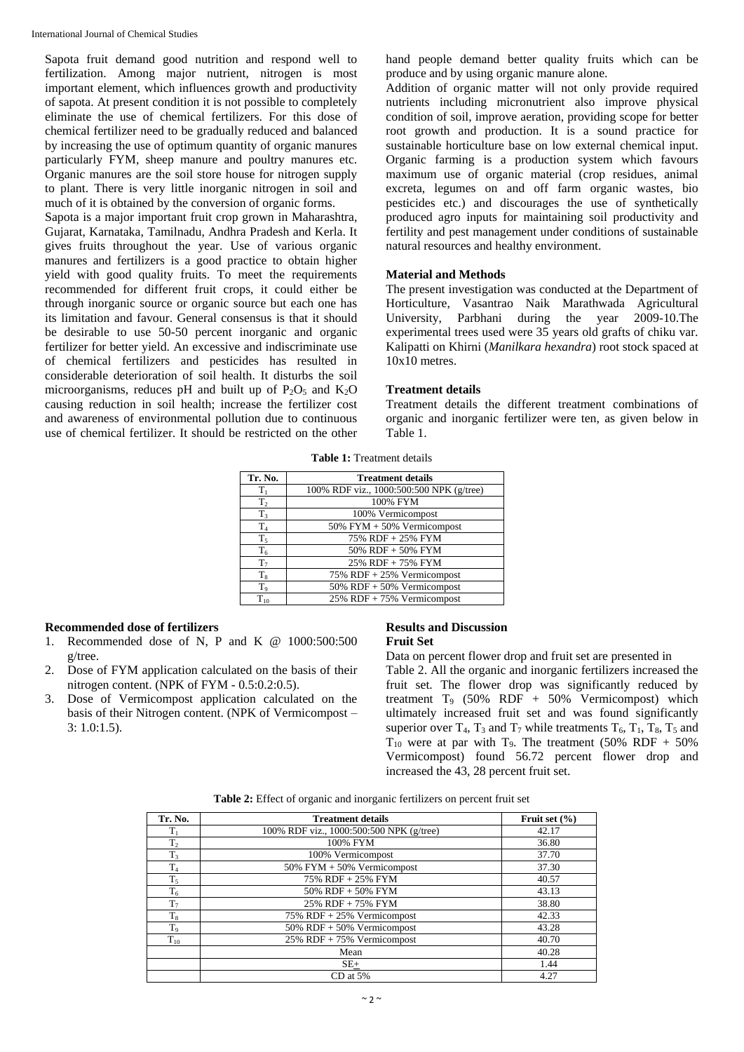Sapota fruit demand good nutrition and respond well to fertilization. Among major nutrient, nitrogen is most important element, which influences growth and productivity of sapota. At present condition it is not possible to completely eliminate the use of chemical fertilizers. For this dose of chemical fertilizer need to be gradually reduced and balanced by increasing the use of optimum quantity of organic manures particularly FYM, sheep manure and poultry manures etc. Organic manures are the soil store house for nitrogen supply to plant. There is very little inorganic nitrogen in soil and much of it is obtained by the conversion of organic forms.

Sapota is a major important fruit crop grown in Maharashtra, Gujarat, Karnataka, Tamilnadu, Andhra Pradesh and Kerla. It gives fruits throughout the year. Use of various organic manures and fertilizers is a good practice to obtain higher yield with good quality fruits. To meet the requirements recommended for different fruit crops, it could either be through inorganic source or organic source but each one has its limitation and favour. General consensus is that it should be desirable to use 50-50 percent inorganic and organic fertilizer for better yield. An excessive and indiscriminate use of chemical fertilizers and pesticides has resulted in considerable deterioration of soil health. It disturbs the soil microorganisms, reduces pH and built up of  $P_2O_5$  and  $K_2O$ causing reduction in soil health; increase the fertilizer cost and awareness of environmental pollution due to continuous use of chemical fertilizer. It should be restricted on the other hand people demand better quality fruits which can be produce and by using organic manure alone.

Addition of organic matter will not only provide required nutrients including micronutrient also improve physical condition of soil, improve aeration, providing scope for better root growth and production. It is a sound practice for sustainable horticulture base on low external chemical input. Organic farming is a production system which favours maximum use of organic material (crop residues, animal excreta, legumes on and off farm organic wastes, bio pesticides etc.) and discourages the use of synthetically produced agro inputs for maintaining soil productivity and fertility and pest management under conditions of sustainable natural resources and healthy environment.

# **Material and Methods**

The present investigation was conducted at the Department of Horticulture, Vasantrao Naik Marathwada Agricultural University, Parbhani during the year 2009-10.The experimental trees used were 35 years old grafts of chiku var. Kalipatti on Khirni (*Manilkara hexandra*) root stock spaced at 10x10 metres.

# **Treatment details**

Treatment details the different treatment combinations of organic and inorganic fertilizer were ten, as given below in Table 1.

**Table 1:** Treatment details

| Tr. No.        | <b>Treatment details</b>                 |
|----------------|------------------------------------------|
| $T_1$          | 100% RDF viz., 1000:500:500 NPK (g/tree) |
| T <sub>2</sub> | 100% FYM                                 |
| T <sub>3</sub> | 100% Vermicompost                        |
| $T_4$          | $50\%$ FYM + $50\%$ Vermicompost         |
| $T_5$          | 75% RDF + 25% FYM                        |
| $T_6$          | 50% RDF $+$ 50% FYM                      |
| $T_7$          | 25% RDF + 75% FYM                        |
| $T_8$          | 75% RDF + 25% Vermicompost               |
| T <sub>0</sub> | $50\%$ RDF + $50\%$ Vermicompost         |
| $\rm T_{10}$   | $25\%$ RDF + 75% Vermicompost            |

# **Recommended dose of fertilizers**

- 1. Recommended dose of N, P and K @ 1000:500:500 g/tree.
- 2. Dose of FYM application calculated on the basis of their nitrogen content. (NPK of FYM - 0.5:0.2:0.5).
- 3. Dose of Vermicompost application calculated on the basis of their Nitrogen content. (NPK of Vermicompost – 3: 1.0:1.5).

#### **Results and Discussion Fruit Set**

Data on percent flower drop and fruit set are presented in Table 2. All the organic and inorganic fertilizers increased the fruit set. The flower drop was significantly reduced by treatment  $T_9$  (50% RDF + 50% Vermicompost) which ultimately increased fruit set and was found significantly superior over  $T_4$ ,  $T_3$  and  $T_7$  while treatments  $T_6$ ,  $T_1$ ,  $T_8$ ,  $T_5$  and  $T_{10}$  were at par with T<sub>9</sub>. The treatment (50% RDF + 50%) Vermicompost) found 56.72 percent flower drop and increased the 43, 28 percent fruit set.

**Table 2:** Effect of organic and inorganic fertilizers on percent fruit set

| Tr. No.        | <b>Treatment details</b>                 | Fruit set $(\% )$ |
|----------------|------------------------------------------|-------------------|
| $T_1$          | 100% RDF viz., 1000:500:500 NPK (g/tree) | 42.17             |
| T <sub>2</sub> | 100% FYM                                 | 36.80             |
| $T_3$          | 100% Vermicompost                        | 37.70             |
| T <sub>4</sub> | $50\%$ FYM + $50\%$ Vermicompost         | 37.30             |
| $T_5$          | 75% RDF + 25% FYM                        | 40.57             |
| $T_6$          | $50\%$ RDF + $50\%$ FYM                  | 43.13             |
| $T_7$          | 25% RDF + 75% FYM                        | 38.80             |
| $T_8$          | $75\%$ RDF + 25% Vermicompost            | 42.33             |
| T <sub>9</sub> | $50\%$ RDF + $50\%$ Vermicompost         | 43.28             |
| $T_{10}$       | $25\%$ RDF + 75% Vermicompost            | 40.70             |
|                | Mean                                     | 40.28             |
|                | $SE+$                                    | 1.44              |
|                | CD at 5%                                 | 4.27              |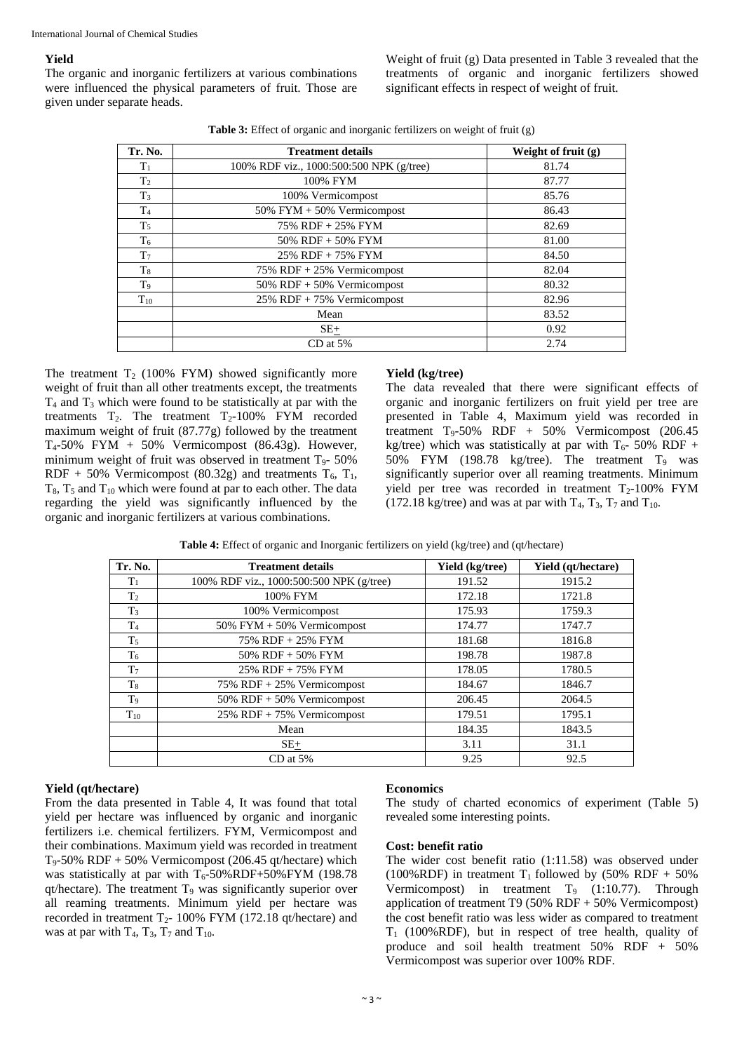#### **Yield**

The organic and inorganic fertilizers at various combinations were influenced the physical parameters of fruit. Those are given under separate heads.

Weight of fruit (g) Data presented in Table 3 revealed that the treatments of organic and inorganic fertilizers showed significant effects in respect of weight of fruit.

| Tr. No.        | Weight of fruit (g)<br><b>Treatment details</b> |       |  |  |  |
|----------------|-------------------------------------------------|-------|--|--|--|
| $T_1$          | 100% RDF viz., 1000:500:500 NPK (g/tree)        | 81.74 |  |  |  |
| T <sub>2</sub> | 100% FYM                                        | 87.77 |  |  |  |
| $T_3$          | 100% Vermicompost                               | 85.76 |  |  |  |
| T <sub>4</sub> | $50\%$ FYM + $50\%$ Vermicompost                | 86.43 |  |  |  |
| T <sub>5</sub> | 75% RDF + 25% FYM                               | 82.69 |  |  |  |
| $T_6$          | $50\%$ RDF + $50\%$ FYM                         | 81.00 |  |  |  |
| T <sub>7</sub> | 25% RDF + 75% FYM                               | 84.50 |  |  |  |
| T8             | $75\%$ RDF + 25% Vermicompost                   | 82.04 |  |  |  |
| T <sub>9</sub> | $50\%$ RDF + $50\%$ Vermicompost                | 80.32 |  |  |  |
| $T_{10}$       | $25\%$ RDF + 75% Vermicompost                   | 82.96 |  |  |  |
|                | Mean                                            | 83.52 |  |  |  |
|                | $SE+$                                           | 0.92  |  |  |  |
|                | $CD$ at 5%                                      | 2.74  |  |  |  |

|  | Table 3: Effect of organic and inorganic fertilizers on weight of fruit (g) |  |
|--|-----------------------------------------------------------------------------|--|
|  |                                                                             |  |

The treatment  $T_2$  (100% FYM) showed significantly more weight of fruit than all other treatments except, the treatments T<sup>4</sup> and T<sup>3</sup> which were found to be statistically at par with the treatments  $T_2$ . The treatment  $T_2$ -100% FYM recorded maximum weight of fruit (87.77g) followed by the treatment  $T<sub>4</sub>$ -50% FYM + 50% Vermicompost (86.43g). However, minimum weight of fruit was observed in treatment  $T<sub>9</sub>$ - 50% RDF + 50% Vermicompost (80.32g) and treatments  $T_6$ ,  $T_1$ , T8, T<sup>5</sup> and T<sup>10</sup> which were found at par to each other. The data regarding the yield was significantly influenced by the organic and inorganic fertilizers at various combinations.

#### **Yield (kg/tree)**

The data revealed that there were significant effects of organic and inorganic fertilizers on fruit yield per tree are presented in Table 4, Maximum yield was recorded in treatment T9-50% RDF + 50% Vermicompost (206.45 kg/tree) which was statistically at par with  $T_6$ - 50% RDF + 50% FYM (198.78 kg/tree). The treatment  $T<sub>9</sub>$  was significantly superior over all reaming treatments. Minimum yield per tree was recorded in treatment  $T_2$ -100% FYM (172.18 kg/tree) and was at par with  $T_4$ ,  $T_3$ ,  $T_7$  and  $T_{10}$ .

| Table 4: Effect of organic and Inorganic fertilizers on yield (kg/tree) and (qt/hectare) |  |  |  |  |
|------------------------------------------------------------------------------------------|--|--|--|--|
|------------------------------------------------------------------------------------------|--|--|--|--|

| Tr. No.        | <b>Treatment details</b>                 | Yield (kg/tree) | Yield (qt/hectare) |
|----------------|------------------------------------------|-----------------|--------------------|
| $T_1$          | 100% RDF viz., 1000:500:500 NPK (g/tree) | 191.52          | 1915.2             |
| T <sub>2</sub> | 100% FYM                                 | 172.18          | 1721.8             |
| $T_3$          | 100% Vermicompost                        | 175.93          | 1759.3             |
| T <sub>4</sub> | $50\%$ FYM + $50\%$ Vermicompost         | 174.77          | 1747.7             |
| $T_5$          | 75% RDF + 25% FYM                        | 181.68          | 1816.8             |
| T <sub>6</sub> | $50\%$ RDF + $50\%$ FYM                  | 198.78          | 1987.8             |
| T <sub>7</sub> | 25% RDF + 75% FYM                        | 178.05          | 1780.5             |
| $T_8$          | $75\%$ RDF + 25% Vermicompost            | 184.67          | 1846.7             |
| T <sub>9</sub> | $50\%$ RDF + $50\%$ Vermicompost         | 206.45          | 2064.5             |
| $T_{10}$       | $25\%$ RDF + 75% Vermicompost            | 179.51          | 1795.1             |
|                | Mean                                     | 184.35          | 1843.5             |
|                | $SE_{\pm}$                               | 3.11            | 31.1               |
|                | $CD$ at 5%                               | 9.25            | 92.5               |

# **Yield (qt/hectare)**

From the data presented in Table 4, It was found that total yield per hectare was influenced by organic and inorganic fertilizers i.e. chemical fertilizers. FYM, Vermicompost and their combinations. Maximum yield was recorded in treatment T<sub>9</sub>-50% RDF + 50% Vermicompost (206.45 qt/hectare) which was statistically at par with  $T_6$ -50%RDF+50%FYM (198.78)  $qt/hectare$ ). The treatment  $T_9$  was significantly superior over all reaming treatments. Minimum yield per hectare was recorded in treatment  $T_2$ - 100% FYM (172.18 qt/hectare) and was at par with  $T_4$ ,  $T_3$ ,  $T_7$  and  $T_{10}$ .

# **Economics**

The study of charted economics of experiment (Table 5) revealed some interesting points.

# **Cost: benefit ratio**

The wider cost benefit ratio (1:11.58) was observed under (100%RDF) in treatment  $T_1$  followed by (50% RDF + 50%) Vermicompost) in treatment  $T_9$  (1:10.77). Through application of treatment T9 (50% RDF + 50% Vermicompost) the cost benefit ratio was less wider as compared to treatment  $T_1$  (100%RDF), but in respect of tree health, quality of produce and soil health treatment 50% RDF + 50% Vermicompost was superior over 100% RDF.